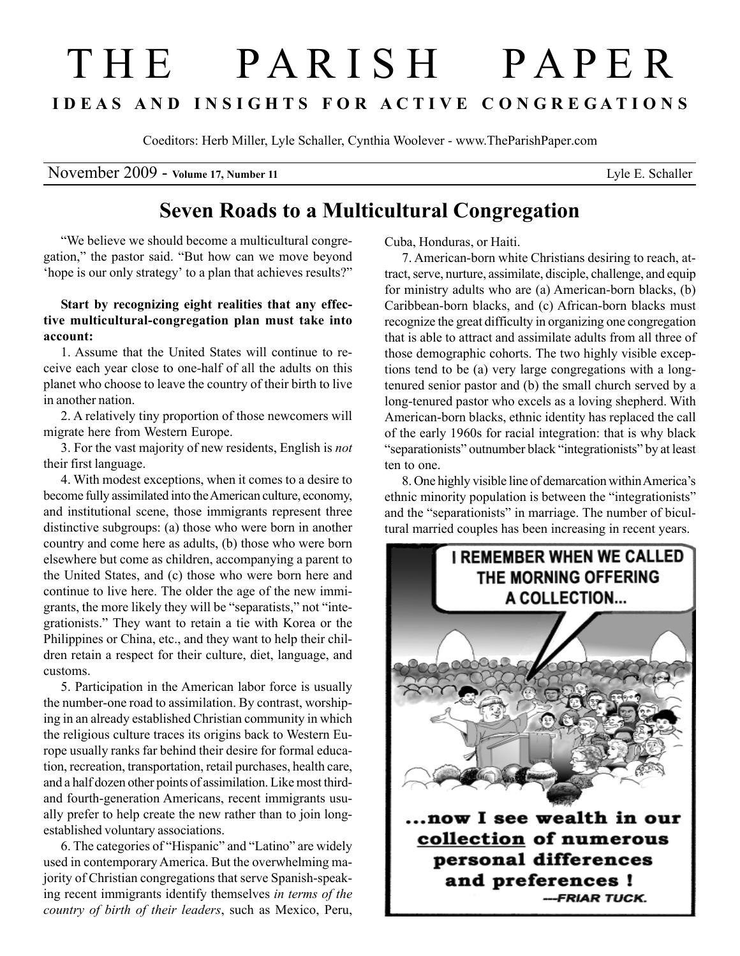## T H E P A R I S H P A P E R I D E A S A N D I N S I G H T S F O R A C T I V E C O N G R E G A T I O N S

Coeditors: Herb Miller, Lyle Schaller, Cynthia Woolever - www.TheParishPaper.com

November 2009 - Volume 17, Number 11 Lyle E. Schaller

## Seven Roads to a Multicultural Congregation

"We believe we should become a multicultural congregation," the pastor said. "But how can we move beyond 'hope is our only strategy' to a plan that achieves results?"

## Start by recognizing eight realities that any effective multicultural-congregation plan must take into account:

1. Assume that the United States will continue to receive each year close to one-half of all the adults on this planet who choose to leave the country of their birth to live in another nation.

2. A relatively tiny proportion of those newcomers will migrate here from Western Europe.

3. For the vast majority of new residents, English is not their first language.

4. With modest exceptions, when it comes to a desire to become fully assimilated into the American culture, economy, and institutional scene, those immigrants represent three distinctive subgroups: (a) those who were born in another country and come here as adults, (b) those who were born elsewhere but come as children, accompanying a parent to the United States, and (c) those who were born here and continue to live here. The older the age of the new immigrants, the more likely they will be "separatists," not "integrationists." They want to retain a tie with Korea or the Philippines or China, etc., and they want to help their children retain a respect for their culture, diet, language, and customs.

5. Participation in the American labor force is usually the number-one road to assimilation. By contrast, worshiping in an already established Christian community in which the religious culture traces its origins back to Western Europe usually ranks far behind their desire for formal education, recreation, transportation, retail purchases, health care, and a half dozen other points of assimilation. Like most thirdand fourth-generation Americans, recent immigrants usually prefer to help create the new rather than to join longestablished voluntary associations.

6. The categories of "Hispanic" and "Latino" are widely used in contemporary America. But the overwhelming majority of Christian congregations that serve Spanish-speaking recent immigrants identify themselves in terms of the country of birth of their leaders, such as Mexico, Peru,

Cuba, Honduras, or Haiti.

7. American-born white Christians desiring to reach, attract, serve, nurture, assimilate, disciple, challenge, and equip for ministry adults who are (a) American-born blacks, (b) Caribbean-born blacks, and (c) African-born blacks must recognize the great difficulty in organizing one congregation that is able to attract and assimilate adults from all three of those demographic cohorts. The two highly visible exceptions tend to be (a) very large congregations with a longtenured senior pastor and (b) the small church served by a long-tenured pastor who excels as a loving shepherd. With American-born blacks, ethnic identity has replaced the call of the early 1960s for racial integration: that is why black "separationists" outnumber black "integrationists" by at least ten to one.

8. One highly visible line of demarcation within America's ethnic minority population is between the "integrationists" and the "separationists" in marriage. The number of bicultural married couples has been increasing in recent years.